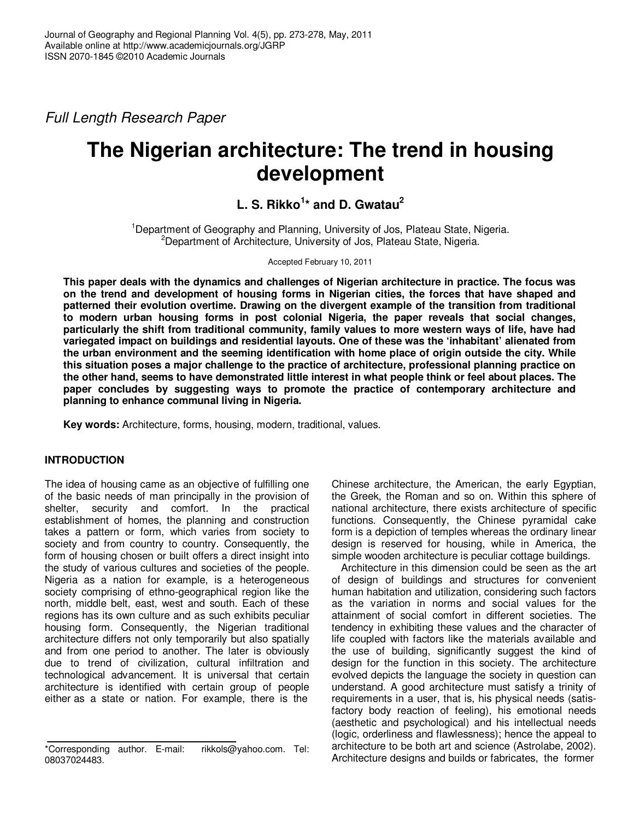Full Length Research Paper

# **The Nigerian architecture: The trend in housing development**

# **L. S. Rikko<sup>1</sup> \* and D. Gwatau<sup>2</sup>**

<sup>1</sup>Department of Geography and Planning, University of Jos, Plateau State, Nigeria. <sup>2</sup>Department of Architecture, University of Jos, Plateau State, Nigeria.

Accepted February 10, 2011

**This paper deals with the dynamics and challenges of Nigerian architecture in practice. The focus was on the trend and development of housing forms in Nigerian cities, the forces that have shaped and patterned their evolution overtime. Drawing on the divergent example of the transition from traditional to modern urban housing forms in post colonial Nigeria, the paper reveals that social changes, particularly the shift from traditional community, family values to more western ways of life, have had variegated impact on buildings and residential layouts. One of these was the 'inhabitant' alienated from the urban environment and the seeming identification with home place of origin outside the city. While this situation poses a major challenge to the practice of architecture, professional planning practice on the other hand, seems to have demonstrated little interest in what people think or feel about places. The paper concludes by suggesting ways to promote the practice of contemporary architecture and planning to enhance communal living in Nigeria.** 

**Key words:** Architecture, forms, housing, modern, traditional, values.

# **INTRODUCTION**

The idea of housing came as an objective of fulfilling one of the basic needs of man principally in the provision of shelter, security and comfort. In the practical establishment of homes, the planning and construction takes a pattern or form, which varies from society to society and from country to country. Consequently, the form of housing chosen or built offers a direct insight into the study of various cultures and societies of the people. Nigeria as a nation for example, is a heterogeneous society comprising of ethno-geographical region like the north, middle belt, east, west and south. Each of these regions has its own culture and as such exhibits peculiar housing form. Consequently, the Nigerian traditional architecture differs not only temporarily but also spatially and from one period to another. The later is obviously due to trend of civilization, cultural infiltration and technological advancement. It is universal that certain architecture is identified with certain group of people either as a state or nation. For example, there is the

Chinese architecture, the American, the early Egyptian, the Greek, the Roman and so on. Within this sphere of national architecture, there exists architecture of specific functions. Consequently, the Chinese pyramidal cake form is a depiction of temples whereas the ordinary linear design is reserved for housing, while in America, the simple wooden architecture is peculiar cottage buildings.

Architecture in this dimension could be seen as the art of design of buildings and structures for convenient human habitation and utilization, considering such factors as the variation in norms and social values for the attainment of social comfort in different societies. The tendency in exhibiting these values and the character of life coupled with factors like the materials available and the use of building, significantly suggest the kind of design for the function in this society. The architecture evolved depicts the language the society in question can understand. A good architecture must satisfy a trinity of requirements in a user, that is, his physical needs (satisfactory body reaction of feeling), his emotional needs (aesthetic and psychological) and his intellectual needs (logic, orderliness and flawlessness); hence the appeal to architecture to be both art and science (Astrolabe, 2002). Architecture designs and builds or fabricates, the former

<sup>\*</sup>Corresponding author. E-mail: rikkols@yahoo.com. Tel: 08037024483.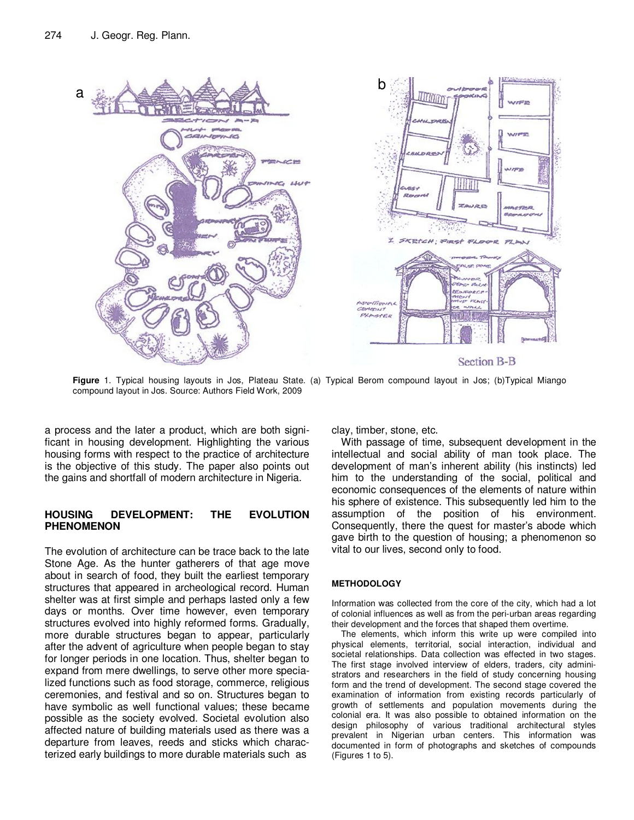

**Figure** 1. Typical housing layouts in Jos, Plateau State. (a) Typical Berom compound layout in Jos; (b)Typical Miango compound layout in Jos. Source: Authors Field Work, 2009

a process and the later a product, which are both significant in housing development. Highlighting the various housing forms with respect to the practice of architecture is the objective of this study. The paper also points out the gains and shortfall of modern architecture in Nigeria.

#### **HOUSING DEVELOPMENT: THE EVOLUTION PHENOMENON**

The evolution of architecture can be trace back to the late Stone Age. As the hunter gatherers of that age move about in search of food, they built the earliest temporary structures that appeared in archeological record. Human shelter was at first simple and perhaps lasted only a few days or months. Over time however, even temporary structures evolved into highly reformed forms. Gradually, more durable structures began to appear, particularly after the advent of agriculture when people began to stay for longer periods in one location. Thus, shelter began to expand from mere dwellings, to serve other more specialized functions such as food storage, commerce, religious ceremonies, and festival and so on. Structures began to have symbolic as well functional values; these became possible as the society evolved. Societal evolution also affected nature of building materials used as there was a departure from leaves, reeds and sticks which characterized early buildings to more durable materials such as

clay, timber, stone, etc.

With passage of time, subsequent development in the intellectual and social ability of man took place. The development of man's inherent ability (his instincts) led him to the understanding of the social, political and economic consequences of the elements of nature within his sphere of existence. This subsequently led him to the assumption of the position of his environment. Consequently, there the quest for master's abode which gave birth to the question of housing; a phenomenon so vital to our lives, second only to food.

#### **METHODOLOGY**

Information was collected from the core of the city, which had a lot of colonial influences as well as from the peri-urban areas regarding their development and the forces that shaped them overtime.

The elements, which inform this write up were compiled into physical elements, territorial, social interaction, individual and societal relationships. Data collection was effected in two stages. The first stage involved interview of elders, traders, city administrators and researchers in the field of study concerning housing form and the trend of development. The second stage covered the examination of information from existing records particularly of growth of settlements and population movements during the colonial era. It was also possible to obtained information on the design philosophy of various traditional architectural styles prevalent in Nigerian urban centers. This information was documented in form of photographs and sketches of compounds (Figures 1 to 5).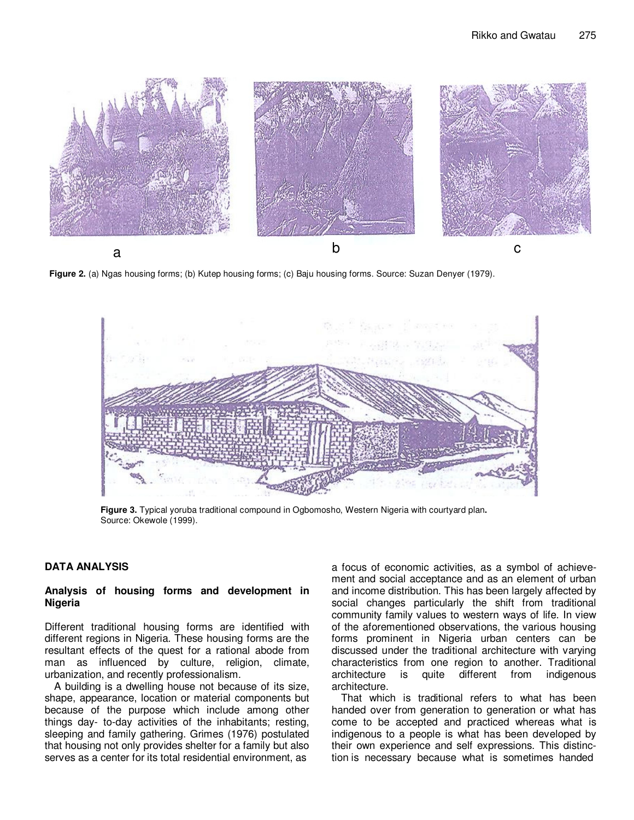

a

**Figure 2.** (a) Ngas housing forms; (b) Kutep housing forms; (c) Baju housing forms. Source: Suzan Denyer (1979).



**Figure 3.** Typical yoruba traditional compound in Ogbomosho, Western Nigeria with courtyard plan**.**  Source: Okewole (1999).

#### **DATA ANALYSIS**

#### **Analysis of housing forms and development in Nigeria**

Different traditional housing forms are identified with different regions in Nigeria. These housing forms are the resultant effects of the quest for a rational abode from man as influenced by culture, religion, climate, urbanization, and recently professionalism.

A building is a dwelling house not because of its size, shape, appearance, location or material components but because of the purpose which include among other things day- to-day activities of the inhabitants; resting, sleeping and family gathering. Grimes (1976) postulated that housing not only provides shelter for a family but also serves as a center for its total residential environment, as

a focus of economic activities, as a symbol of achievement and social acceptance and as an element of urban and income distribution. This has been largely affected by social changes particularly the shift from traditional community family values to western ways of life. In view of the aforementioned observations, the various housing forms prominent in Nigeria urban centers can be discussed under the traditional architecture with varying characteristics from one region to another. Traditional architecture is quite different from indigenous architecture.

That which is traditional refers to what has been handed over from generation to generation or what has come to be accepted and practiced whereas what is indigenous to a people is what has been developed by their own experience and self expressions. This distinction is necessary because what is sometimes handed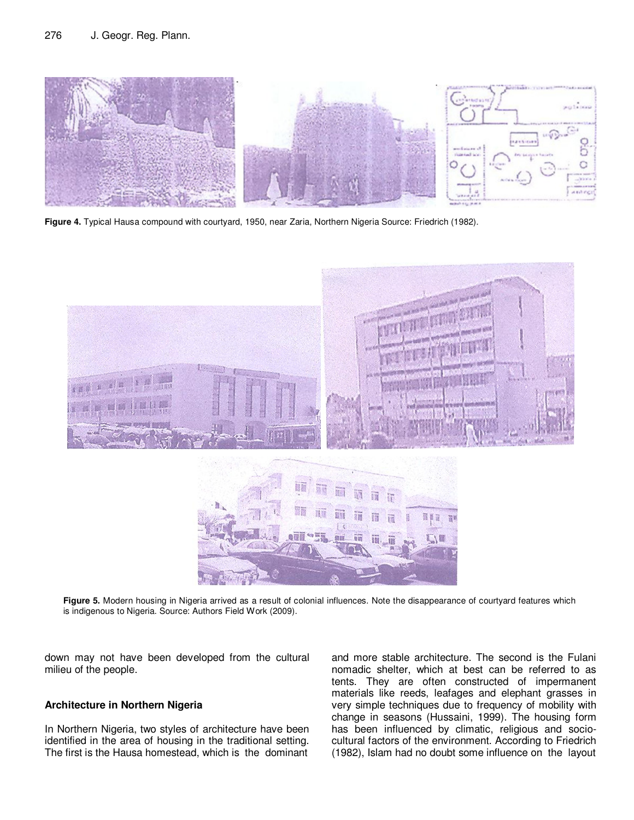

**Figure 4.** Typical Hausa compound with courtyard, 1950, near Zaria, Northern Nigeria Source: Friedrich (1982).



Figure 5. Modern housing in Nigeria arrived as a result of colonial influences. Note the disappearance of courtyard features which is indigenous to Nigeria. Source: Authors Field Work (2009).

down may not have been developed from the cultural milieu of the people.

### **Architecture in Northern Nigeria**

In Northern Nigeria, two styles of architecture have been identified in the area of housing in the traditional setting. The first is the Hausa homestead, which is the dominant

and more stable architecture. The second is the Fulani nomadic shelter, which at best can be referred to as tents. They are often constructed of impermanent materials like reeds, leafages and elephant grasses in very simple techniques due to frequency of mobility with change in seasons (Hussaini, 1999). The housing form has been influenced by climatic, religious and sociocultural factors of the environment. According to Friedrich (1982), Islam had no doubt some influence on the layout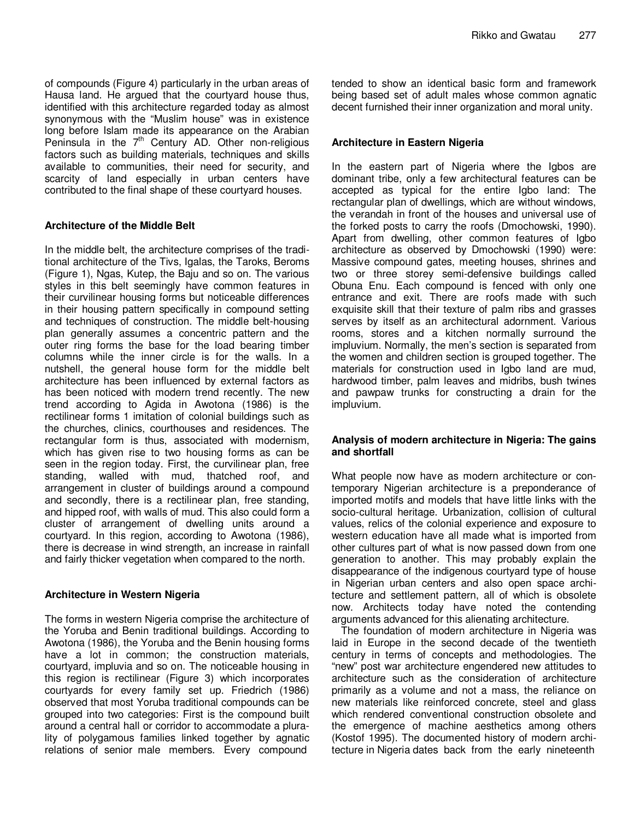of compounds (Figure 4) particularly in the urban areas of Hausa land. He argued that the courtyard house thus, identified with this architecture regarded today as almost synonymous with the "Muslim house" was in existence long before Islam made its appearance on the Arabian Peninsula in the  $7<sup>th</sup>$  Century AD. Other non-religious factors such as building materials, techniques and skills available to communities, their need for security, and scarcity of land especially in urban centers have contributed to the final shape of these courtyard houses.

### **Architecture of the Middle Belt**

In the middle belt, the architecture comprises of the traditional architecture of the Tivs, Igalas, the Taroks, Beroms (Figure 1), Ngas, Kutep, the Baju and so on. The various styles in this belt seemingly have common features in their curvilinear housing forms but noticeable differences in their housing pattern specifically in compound setting and techniques of construction. The middle belt-housing plan generally assumes a concentric pattern and the outer ring forms the base for the load bearing timber columns while the inner circle is for the walls. In a nutshell, the general house form for the middle belt architecture has been influenced by external factors as has been noticed with modern trend recently. The new trend according to Agida in Awotona (1986) is the rectilinear forms 1 imitation of colonial buildings such as the churches, clinics, courthouses and residences. The rectangular form is thus, associated with modernism, which has given rise to two housing forms as can be seen in the region today. First, the curvilinear plan, free standing, walled with mud, thatched roof, and arrangement in cluster of buildings around a compound and secondly, there is a rectilinear plan, free standing, and hipped roof, with walls of mud. This also could form a cluster of arrangement of dwelling units around a courtyard. In this region, according to Awotona (1986), there is decrease in wind strength, an increase in rainfall and fairly thicker vegetation when compared to the north.

# **Architecture in Western Nigeria**

The forms in western Nigeria comprise the architecture of the Yoruba and Benin traditional buildings. According to Awotona (1986), the Yoruba and the Benin housing forms have a lot in common; the construction materials, courtyard, impluvia and so on. The noticeable housing in this region is rectilinear (Figure 3) which incorporates courtyards for every family set up. Friedrich (1986) observed that most Yoruba traditional compounds can be grouped into two categories: First is the compound built around a central hall or corridor to accommodate a plurality of polygamous families linked together by agnatic relations of senior male members. Every compound

tended to show an identical basic form and framework being based set of adult males whose common agnatic decent furnished their inner organization and moral unity.

# **Architecture in Eastern Nigeria**

In the eastern part of Nigeria where the Igbos are dominant tribe, only a few architectural features can be accepted as typical for the entire Igbo land: The rectangular plan of dwellings, which are without windows, the verandah in front of the houses and universal use of the forked posts to carry the roofs (Dmochowski, 1990). Apart from dwelling, other common features of Igbo architecture as observed by Dmochowski (1990) were: Massive compound gates, meeting houses, shrines and two or three storey semi-defensive buildings called Obuna Enu. Each compound is fenced with only one entrance and exit. There are roofs made with such exquisite skill that their texture of palm ribs and grasses serves by itself as an architectural adornment. Various rooms, stores and a kitchen normally surround the impluvium. Normally, the men's section is separated from the women and children section is grouped together. The materials for construction used in Igbo land are mud, hardwood timber, palm leaves and midribs, bush twines and pawpaw trunks for constructing a drain for the impluvium.

### **Analysis of modern architecture in Nigeria: The gains and shortfall**

What people now have as modern architecture or contemporary Nigerian architecture is a preponderance of imported motifs and models that have little links with the socio-cultural heritage. Urbanization, collision of cultural values, relics of the colonial experience and exposure to western education have all made what is imported from other cultures part of what is now passed down from one generation to another. This may probably explain the disappearance of the indigenous courtyard type of house in Nigerian urban centers and also open space architecture and settlement pattern, all of which is obsolete now. Architects today have noted the contending arguments advanced for this alienating architecture.

The foundation of modern architecture in Nigeria was laid in Europe in the second decade of the twentieth century in terms of concepts and methodologies. The "new" post war architecture engendered new attitudes to architecture such as the consideration of architecture primarily as a volume and not a mass, the reliance on new materials like reinforced concrete, steel and glass which rendered conventional construction obsolete and the emergence of machine aesthetics among others (Kostof 1995). The documented history of modern architecture in Nigeria dates back from the early nineteenth